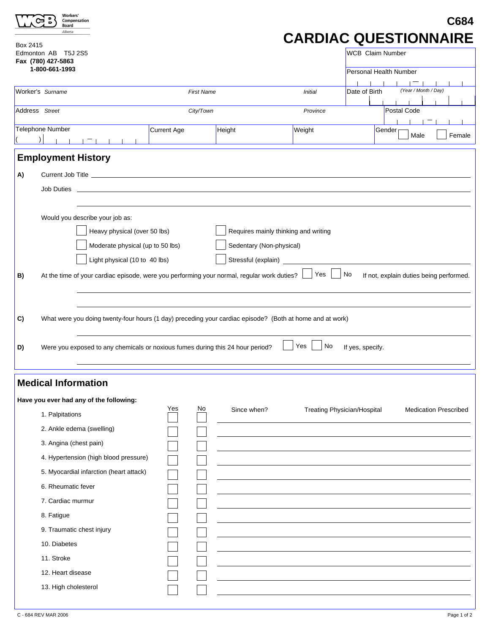| <b>Workers</b><br>Compensation<br>Board<br>Alberta<br>Box 2415<br>T5J 2S5<br>Edmonton AB | C684<br><b>CARDIAC QUESTIONNAIRE</b><br><b>WCB</b> Claim Number                                                                                                                                                                                                                          |                   |             |                  |                                    |                                         |  |  |  |
|------------------------------------------------------------------------------------------|------------------------------------------------------------------------------------------------------------------------------------------------------------------------------------------------------------------------------------------------------------------------------------------|-------------------|-------------|------------------|------------------------------------|-----------------------------------------|--|--|--|
| Fax (780) 427-5863<br>1-800-661-1993                                                     |                                                                                                                                                                                                                                                                                          |                   |             |                  |                                    | Personal Health Number                  |  |  |  |
| Worker's Surname                                                                         |                                                                                                                                                                                                                                                                                          | <b>First Name</b> |             | <b>Initial</b>   | Date of Birth                      | (Year / Month / Day)                    |  |  |  |
| Address Street                                                                           |                                                                                                                                                                                                                                                                                          | City/Town         |             | Province         | Postal Code                        |                                         |  |  |  |
| Telephone Number                                                                         | Current Age                                                                                                                                                                                                                                                                              |                   | Height      | Weight           |                                    | Gender<br>Female<br>Male                |  |  |  |
|                                                                                          |                                                                                                                                                                                                                                                                                          |                   |             |                  |                                    |                                         |  |  |  |
| <b>Employment History</b><br>A)                                                          |                                                                                                                                                                                                                                                                                          |                   |             |                  |                                    |                                         |  |  |  |
| Would you describe your job as:                                                          | Requires mainly thinking and writing<br>Heavy physical (over 50 lbs)<br>Moderate physical (up to 50 lbs)<br>Sedentary (Non-physical)<br>Light physical (10 to 40 lbs)                                                                                                                    |                   |             |                  |                                    |                                         |  |  |  |
| B)<br>C)<br>D)                                                                           | At the time of your cardiac episode, were you performing your normal, regular work duties?<br>What were you doing twenty-four hours (1 day) preceding your cardiac episode? (Both at home and at work)<br>Were you exposed to any chemicals or noxious fumes during this 24 hour period? |                   |             | Yes<br>Yes<br>No | No<br>If yes, specify.             | If not, explain duties being performed. |  |  |  |
| <b>Medical Information</b><br>Have you ever had any of the following:                    |                                                                                                                                                                                                                                                                                          |                   |             |                  |                                    |                                         |  |  |  |
| 1. Palpitations                                                                          | Yes                                                                                                                                                                                                                                                                                      | No                | Since when? |                  | <b>Treating Physician/Hospital</b> | <b>Medication Prescribed</b>            |  |  |  |
| 2. Ankle edema (swelling)                                                                |                                                                                                                                                                                                                                                                                          |                   |             |                  |                                    |                                         |  |  |  |
| 3. Angina (chest pain)                                                                   |                                                                                                                                                                                                                                                                                          |                   |             |                  |                                    |                                         |  |  |  |
| 4. Hypertension (high blood pressure)                                                    |                                                                                                                                                                                                                                                                                          |                   |             |                  |                                    |                                         |  |  |  |
| 5. Myocardial infarction (heart attack)                                                  |                                                                                                                                                                                                                                                                                          |                   |             |                  |                                    |                                         |  |  |  |
| 6. Rheumatic fever<br>7. Cardiac murmur                                                  |                                                                                                                                                                                                                                                                                          |                   |             |                  |                                    |                                         |  |  |  |
| 8. Fatigue                                                                               |                                                                                                                                                                                                                                                                                          |                   |             |                  |                                    |                                         |  |  |  |
| 9. Traumatic chest injury                                                                |                                                                                                                                                                                                                                                                                          |                   |             |                  |                                    |                                         |  |  |  |
| 10. Diabetes                                                                             |                                                                                                                                                                                                                                                                                          |                   |             |                  |                                    |                                         |  |  |  |
| 11. Stroke                                                                               |                                                                                                                                                                                                                                                                                          |                   |             |                  |                                    |                                         |  |  |  |
| 12. Heart disease                                                                        |                                                                                                                                                                                                                                                                                          |                   |             |                  |                                    |                                         |  |  |  |
| 13. High cholesterol                                                                     |                                                                                                                                                                                                                                                                                          |                   |             |                  |                                    |                                         |  |  |  |